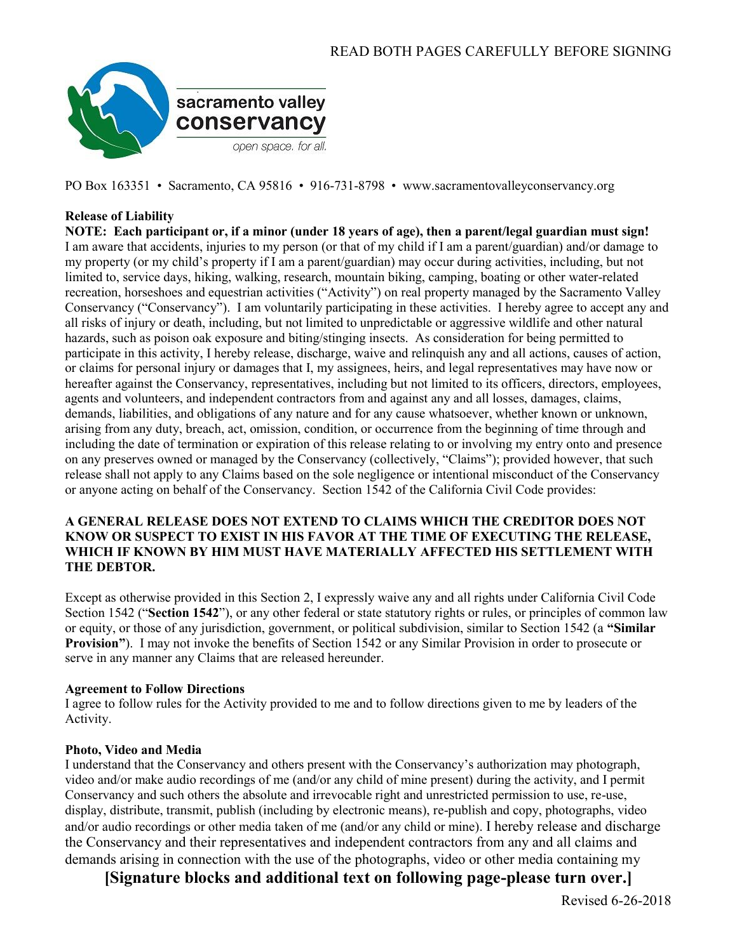

PO Box 163351 • Sacramento, CA 95816 • 916-731-8798 • www.sacramentovalleyconservancy.org

# **Release of Liability**

**NOTE: Each participant or, if a minor (under 18 years of age), then a parent/legal guardian must sign!** I am aware that accidents, injuries to my person (or that of my child if I am a parent/guardian) and/or damage to my property (or my child's property if I am a parent/guardian) may occur during activities, including, but not limited to, service days, hiking, walking, research, mountain biking, camping, boating or other water-related recreation, horseshoes and equestrian activities ("Activity") on real property managed by the Sacramento Valley Conservancy ("Conservancy"). I am voluntarily participating in these activities. I hereby agree to accept any and all risks of injury or death, including, but not limited to unpredictable or aggressive wildlife and other natural hazards, such as poison oak exposure and biting/stinging insects. As consideration for being permitted to participate in this activity, I hereby release, discharge, waive and relinquish any and all actions, causes of action, or claims for personal injury or damages that I, my assignees, heirs, and legal representatives may have now or hereafter against the Conservancy, representatives, including but not limited to its officers, directors, employees, agents and volunteers, and independent contractors from and against any and all losses, damages, claims, demands, liabilities, and obligations of any nature and for any cause whatsoever, whether known or unknown, arising from any duty, breach, act, omission, condition, or occurrence from the beginning of time through and including the date of termination or expiration of this release relating to or involving my entry onto and presence on any preserves owned or managed by the Conservancy (collectively, "Claims"); provided however, that such release shall not apply to any Claims based on the sole negligence or intentional misconduct of the Conservancy or anyone acting on behalf of the Conservancy. Section 1542 of the California Civil Code provides:

## **A GENERAL RELEASE DOES NOT EXTEND TO CLAIMS WHICH THE CREDITOR DOES NOT KNOW OR SUSPECT TO EXIST IN HIS FAVOR AT THE TIME OF EXECUTING THE RELEASE, WHICH IF KNOWN BY HIM MUST HAVE MATERIALLY AFFECTED HIS SETTLEMENT WITH THE DEBTOR.**

Except as otherwise provided in this Section 2, I expressly waive any and all rights under California Civil Code Section 1542 ("**Section 1542**"), or any other federal or state statutory rights or rules, or principles of common law or equity, or those of any jurisdiction, government, or political subdivision, similar to Section 1542 (a **"Similar Provision"**). I may not invoke the benefits of Section 1542 or any Similar Provision in order to prosecute or serve in any manner any Claims that are released hereunder.

## **Agreement to Follow Directions**

I agree to follow rules for the Activity provided to me and to follow directions given to me by leaders of the Activity.

## **Photo, Video and Media**

I understand that the Conservancy and others present with the Conservancy's authorization may photograph, video and/or make audio recordings of me (and/or any child of mine present) during the activity, and I permit Conservancy and such others the absolute and irrevocable right and unrestricted permission to use, re-use, display, distribute, transmit, publish (including by electronic means), re-publish and copy, photographs, video and/or audio recordings or other media taken of me (and/or any child or mine). I hereby release and discharge the Conservancy and their representatives and independent contractors from any and all claims and demands arising in connection with the use of the photographs, video or other media containing my

**[Signature blocks and additional text on following page-please turn over.]**